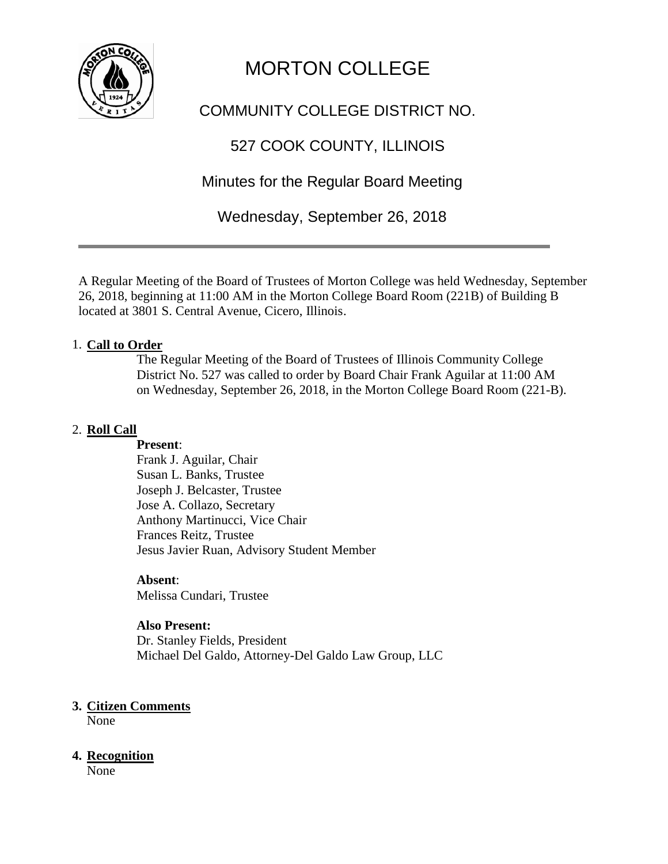

# MORTON COLLEGE

# COMMUNITY COLLEGE DISTRICT NO.

# 527 COOK COUNTY, ILLINOIS

Minutes for the Regular Board Meeting

Wednesday, September 26, 2018

A Regular Meeting of the Board of Trustees of Morton College was held Wednesday, September 26, 2018, beginning at 11:00 AM in the Morton College Board Room (221B) of Building B located at 3801 S. Central Avenue, Cicero, Illinois.

## 1. **Call to Order**

The Regular Meeting of the Board of Trustees of Illinois Community College District No. 527 was called to order by Board Chair Frank Aguilar at 11:00 AM on Wednesday, September 26, 2018, in the Morton College Board Room (221-B).

## 2. **Roll Call**

#### **Present**:

Frank J. Aguilar, Chair Susan L. Banks, Trustee Joseph J. Belcaster, Trustee Jose A. Collazo, Secretary Anthony Martinucci, Vice Chair Frances Reitz, Trustee Jesus Javier Ruan, Advisory Student Member

## **Absent**:

Melissa Cundari, Trustee

## **Also Present:**

Dr. Stanley Fields, President Michael Del Galdo, Attorney-Del Galdo Law Group, LLC

## **3. Citizen Comments**

None

## **4. Recognition**

None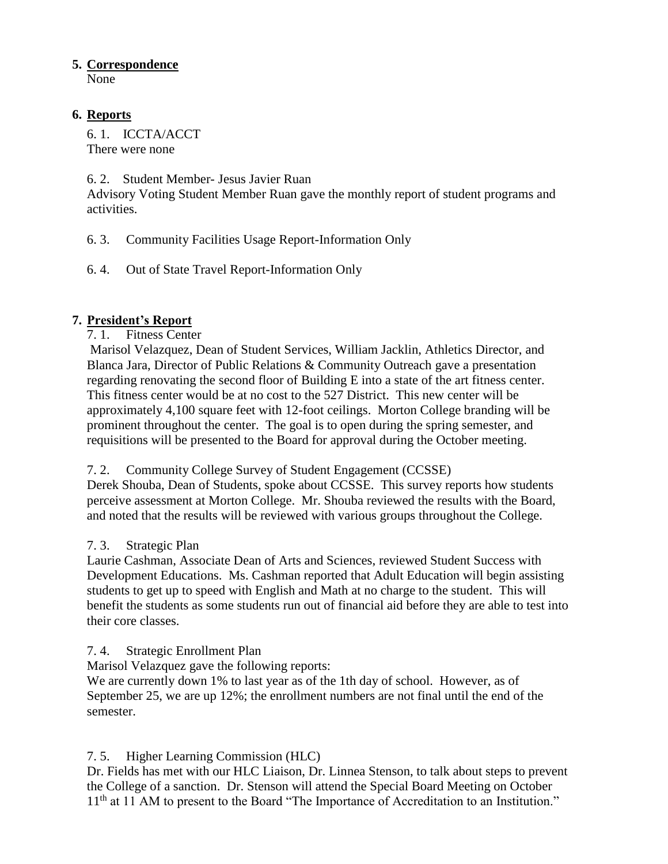## **5. Correspondence**

None

## **6. Reports**

6. 1. ICCTA/ACCT There were none

## 6. 2. Student Member- Jesus Javier Ruan

Advisory Voting Student Member Ruan gave the monthly report of student programs and activities.

6. 3. Community Facilities Usage Report-Information Only

6. 4. Out of State Travel Report-Information Only

## **7. President's Report**

7. 1. Fitness Center

Marisol Velazquez, Dean of Student Services, William Jacklin, Athletics Director, and Blanca Jara, Director of Public Relations & Community Outreach gave a presentation regarding renovating the second floor of Building E into a state of the art fitness center. This fitness center would be at no cost to the 527 District. This new center will be approximately 4,100 square feet with 12-foot ceilings. Morton College branding will be prominent throughout the center. The goal is to open during the spring semester, and requisitions will be presented to the Board for approval during the October meeting.

## 7. 2. Community College Survey of Student Engagement (CCSSE)

Derek Shouba, Dean of Students, spoke about CCSSE. This survey reports how students perceive assessment at Morton College. Mr. Shouba reviewed the results with the Board, and noted that the results will be reviewed with various groups throughout the College.

## 7. 3. Strategic Plan

Laurie Cashman, Associate Dean of Arts and Sciences, reviewed Student Success with Development Educations. Ms. Cashman reported that Adult Education will begin assisting students to get up to speed with English and Math at no charge to the student. This will benefit the students as some students run out of financial aid before they are able to test into their core classes.

7. 4. Strategic Enrollment Plan

Marisol Velazquez gave the following reports:

We are currently down 1% to last year as of the 1th day of school. However, as of September 25, we are up 12%; the enrollment numbers are not final until the end of the semester.

## 7. 5. Higher Learning Commission (HLC)

Dr. Fields has met with our HLC Liaison, Dr. Linnea Stenson, to talk about steps to prevent the College of a sanction. Dr. Stenson will attend the Special Board Meeting on October 11<sup>th</sup> at 11 AM to present to the Board "The Importance of Accreditation to an Institution."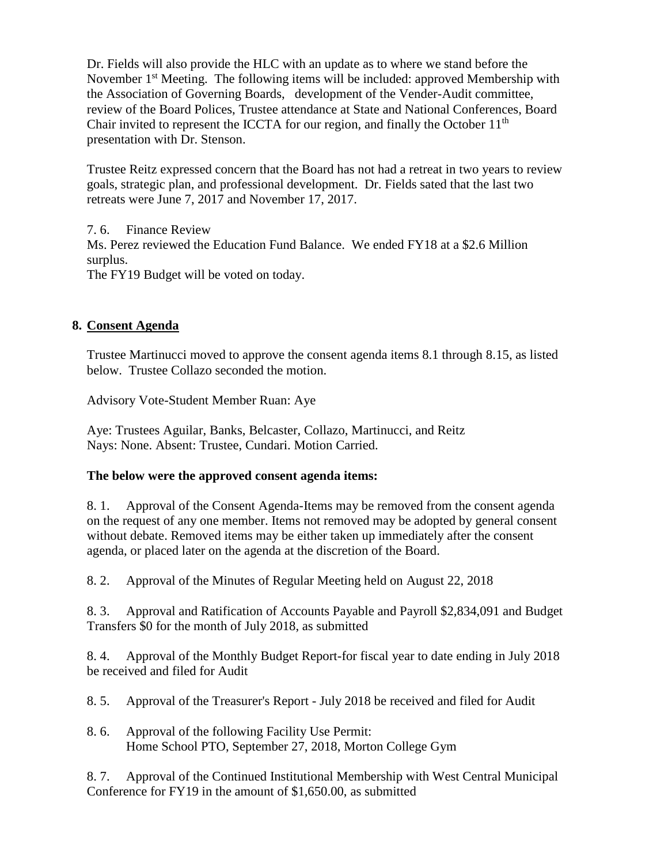Dr. Fields will also provide the HLC with an update as to where we stand before the November 1<sup>st</sup> Meeting. The following items will be included: approved Membership with the Association of Governing Boards, development of the Vender-Audit committee, review of the Board Polices, Trustee attendance at State and National Conferences, Board Chair invited to represent the ICCTA for our region, and finally the October  $11<sup>th</sup>$ presentation with Dr. Stenson.

Trustee Reitz expressed concern that the Board has not had a retreat in two years to review goals, strategic plan, and professional development. Dr. Fields sated that the last two retreats were June 7, 2017 and November 17, 2017.

7. 6. Finance Review Ms. Perez reviewed the Education Fund Balance. We ended FY18 at a \$2.6 Million surplus. The FY19 Budget will be voted on today.

## **8. Consent Agenda**

Trustee Martinucci moved to approve the consent agenda items 8.1 through 8.15, as listed below. Trustee Collazo seconded the motion.

Advisory Vote-Student Member Ruan: Aye

Aye: Trustees Aguilar, Banks, Belcaster, Collazo, Martinucci, and Reitz Nays: None. Absent: Trustee, Cundari. Motion Carried.

## **The below were the approved consent agenda items:**

8. 1. Approval of the Consent Agenda-Items may be removed from the consent agenda on the request of any one member. Items not removed may be adopted by general consent without debate. Removed items may be either taken up immediately after the consent agenda, or placed later on the agenda at the discretion of the Board.

8. 2. Approval of the Minutes of Regular Meeting held on August 22, 2018

8. 3. Approval and Ratification of Accounts Payable and Payroll \$2,834,091 and Budget Transfers \$0 for the month of July 2018, as submitted

8. 4. Approval of the Monthly Budget Report-for fiscal year to date ending in July 2018 be received and filed for Audit

8. 5. Approval of the Treasurer's Report - July 2018 be received and filed for Audit

8. 6. Approval of the following Facility Use Permit: Home School PTO, September 27, 2018, Morton College Gym

8. 7. Approval of the Continued Institutional Membership with West Central Municipal Conference for FY19 in the amount of \$1,650.00, as submitted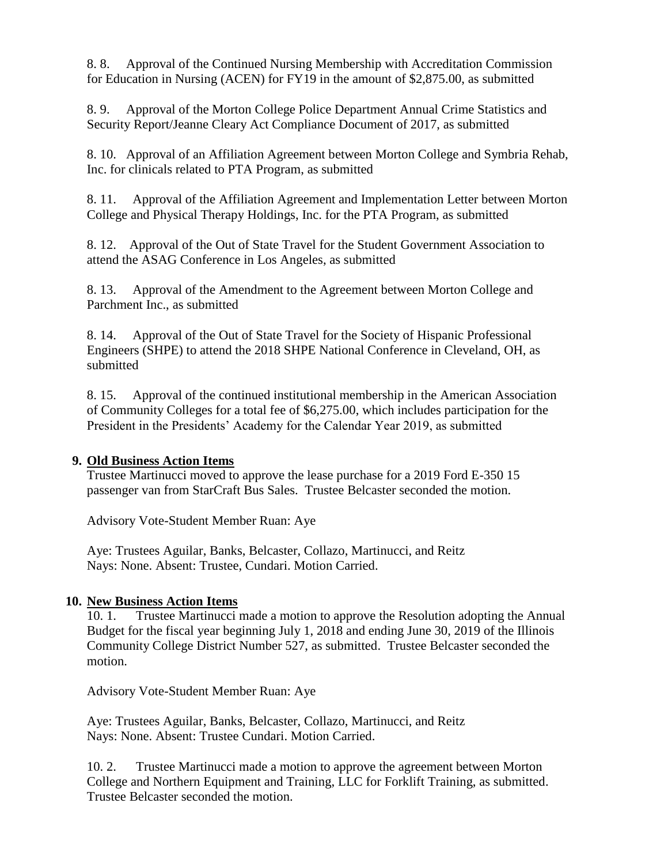8. 8. Approval of the Continued Nursing Membership with Accreditation Commission for Education in Nursing (ACEN) for FY19 in the amount of \$2,875.00, as submitted

8. 9. Approval of the Morton College Police Department Annual Crime Statistics and Security Report/Jeanne Cleary Act Compliance Document of 2017, as submitted

8. 10. Approval of an Affiliation Agreement between Morton College and Symbria Rehab, Inc. for clinicals related to PTA Program, as submitted

8. 11. Approval of the Affiliation Agreement and Implementation Letter between Morton College and Physical Therapy Holdings, Inc. for the PTA Program, as submitted

8. 12. Approval of the Out of State Travel for the Student Government Association to attend the ASAG Conference in Los Angeles, as submitted

8. 13. Approval of the Amendment to the Agreement between Morton College and Parchment Inc., as submitted

8. 14. Approval of the Out of State Travel for the Society of Hispanic Professional Engineers (SHPE) to attend the 2018 SHPE National Conference in Cleveland, OH, as submitted

8. 15. Approval of the continued institutional membership in the American Association of Community Colleges for a total fee of \$6,275.00, which includes participation for the President in the Presidents' Academy for the Calendar Year 2019, as submitted

## **9. Old Business Action Items**

Trustee Martinucci moved to approve the lease purchase for a 2019 Ford E-350 15 passenger van from StarCraft Bus Sales. Trustee Belcaster seconded the motion.

Advisory Vote-Student Member Ruan: Aye

Aye: Trustees Aguilar, Banks, Belcaster, Collazo, Martinucci, and Reitz Nays: None. Absent: Trustee, Cundari. Motion Carried.

#### **10. New Business Action Items**

10. 1. Trustee Martinucci made a motion to approve the Resolution adopting the Annual Budget for the fiscal year beginning July 1, 2018 and ending June 30, 2019 of the Illinois Community College District Number 527, as submitted. Trustee Belcaster seconded the motion.

Advisory Vote-Student Member Ruan: Aye

Aye: Trustees Aguilar, Banks, Belcaster, Collazo, Martinucci, and Reitz Nays: None. Absent: Trustee Cundari. Motion Carried.

10. 2. Trustee Martinucci made a motion to approve the agreement between Morton College and Northern Equipment and Training, LLC for Forklift Training, as submitted. Trustee Belcaster seconded the motion.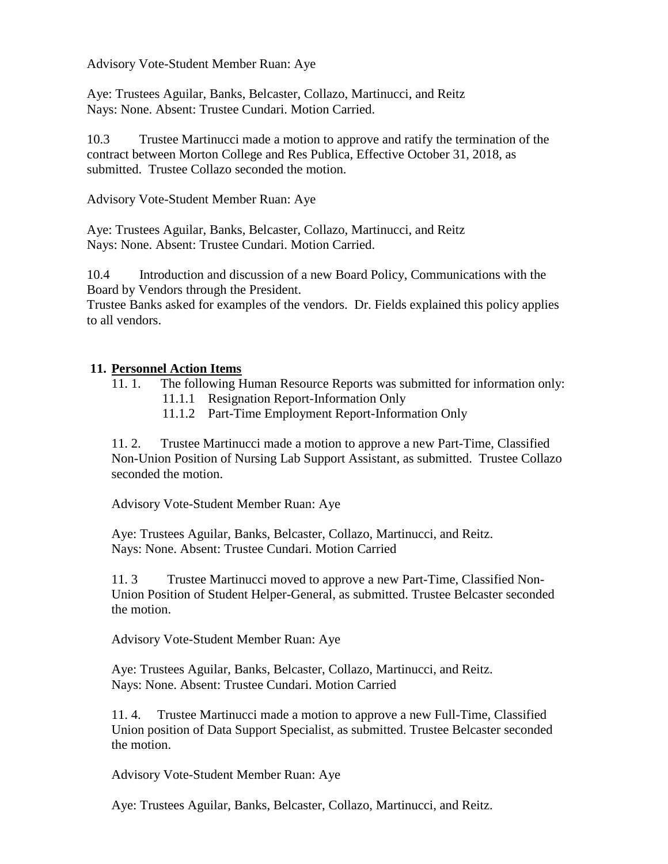Advisory Vote-Student Member Ruan: Aye

Aye: Trustees Aguilar, Banks, Belcaster, Collazo, Martinucci, and Reitz Nays: None. Absent: Trustee Cundari. Motion Carried.

10.3 Trustee Martinucci made a motion to approve and ratify the termination of the contract between Morton College and Res Publica, Effective October 31, 2018, as submitted. Trustee Collazo seconded the motion.

Advisory Vote-Student Member Ruan: Aye

Aye: Trustees Aguilar, Banks, Belcaster, Collazo, Martinucci, and Reitz Nays: None. Absent: Trustee Cundari. Motion Carried.

10.4 Introduction and discussion of a new Board Policy, Communications with the Board by Vendors through the President.

Trustee Banks asked for examples of the vendors. Dr. Fields explained this policy applies to all vendors.

## **11. Personnel Action Items**

11. 1. The following Human Resource Reports was submitted for information only:

- 11.1.1 Resignation Report-Information Only
- 11.1.2 Part-Time Employment Report-Information Only

11. 2. Trustee Martinucci made a motion to approve a new Part-Time, Classified Non-Union Position of Nursing Lab Support Assistant, as submitted. Trustee Collazo seconded the motion.

Advisory Vote-Student Member Ruan: Aye

Aye: Trustees Aguilar, Banks, Belcaster, Collazo, Martinucci, and Reitz. Nays: None. Absent: Trustee Cundari. Motion Carried

11. 3 Trustee Martinucci moved to approve a new Part-Time, Classified Non-Union Position of Student Helper-General, as submitted. Trustee Belcaster seconded the motion.

Advisory Vote-Student Member Ruan: Aye

Aye: Trustees Aguilar, Banks, Belcaster, Collazo, Martinucci, and Reitz. Nays: None. Absent: Trustee Cundari. Motion Carried

11. 4. Trustee Martinucci made a motion to approve a new Full-Time, Classified Union position of Data Support Specialist, as submitted. Trustee Belcaster seconded the motion.

Advisory Vote-Student Member Ruan: Aye

Aye: Trustees Aguilar, Banks, Belcaster, Collazo, Martinucci, and Reitz.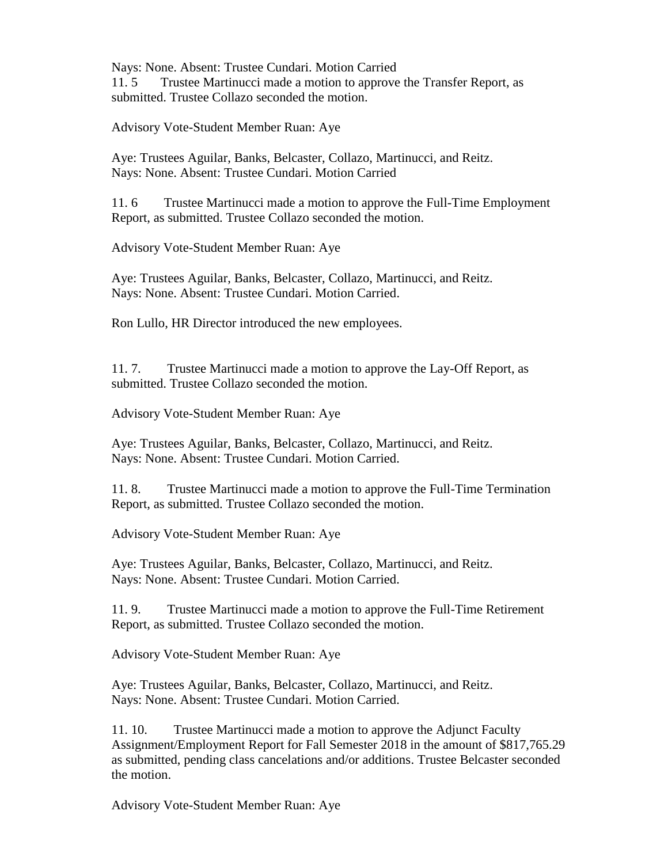Nays: None. Absent: Trustee Cundari. Motion Carried

11. 5 Trustee Martinucci made a motion to approve the Transfer Report, as submitted. Trustee Collazo seconded the motion.

Advisory Vote-Student Member Ruan: Aye

Aye: Trustees Aguilar, Banks, Belcaster, Collazo, Martinucci, and Reitz. Nays: None. Absent: Trustee Cundari. Motion Carried

11. 6 Trustee Martinucci made a motion to approve the Full-Time Employment Report, as submitted. Trustee Collazo seconded the motion.

Advisory Vote-Student Member Ruan: Aye

Aye: Trustees Aguilar, Banks, Belcaster, Collazo, Martinucci, and Reitz. Nays: None. Absent: Trustee Cundari. Motion Carried.

Ron Lullo, HR Director introduced the new employees.

11. 7. Trustee Martinucci made a motion to approve the Lay-Off Report, as submitted. Trustee Collazo seconded the motion.

Advisory Vote-Student Member Ruan: Aye

Aye: Trustees Aguilar, Banks, Belcaster, Collazo, Martinucci, and Reitz. Nays: None. Absent: Trustee Cundari. Motion Carried.

11. 8. Trustee Martinucci made a motion to approve the Full-Time Termination Report, as submitted. Trustee Collazo seconded the motion.

Advisory Vote-Student Member Ruan: Aye

Aye: Trustees Aguilar, Banks, Belcaster, Collazo, Martinucci, and Reitz. Nays: None. Absent: Trustee Cundari. Motion Carried.

11. 9. Trustee Martinucci made a motion to approve the Full-Time Retirement Report, as submitted. Trustee Collazo seconded the motion.

Advisory Vote-Student Member Ruan: Aye

Aye: Trustees Aguilar, Banks, Belcaster, Collazo, Martinucci, and Reitz. Nays: None. Absent: Trustee Cundari. Motion Carried.

11. 10. Trustee Martinucci made a motion to approve the Adjunct Faculty Assignment/Employment Report for Fall Semester 2018 in the amount of \$817,765.29 as submitted, pending class cancelations and/or additions. Trustee Belcaster seconded the motion.

Advisory Vote-Student Member Ruan: Aye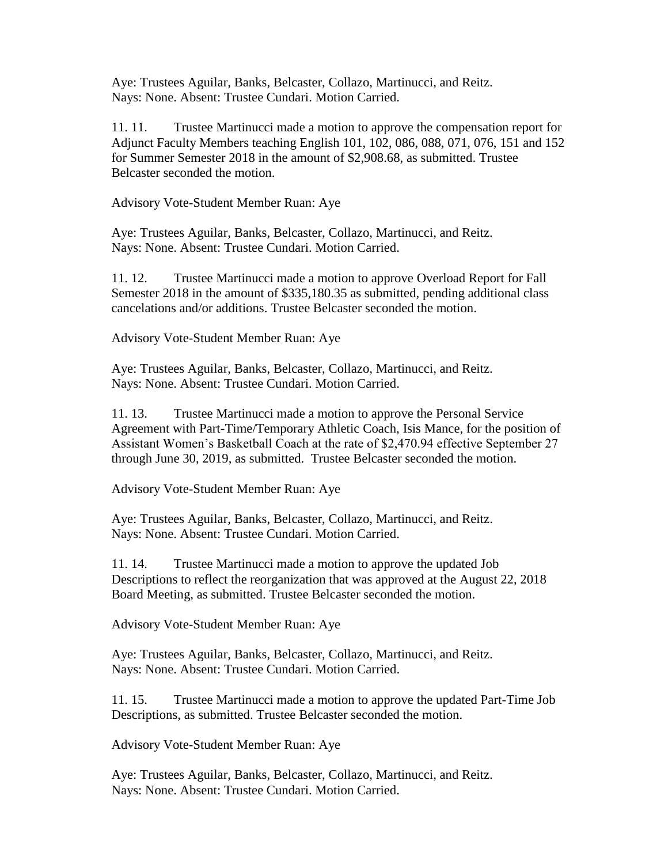Aye: Trustees Aguilar, Banks, Belcaster, Collazo, Martinucci, and Reitz. Nays: None. Absent: Trustee Cundari. Motion Carried.

11. 11. Trustee Martinucci made a motion to approve the compensation report for Adjunct Faculty Members teaching English 101, 102, 086, 088, 071, 076, 151 and 152 for Summer Semester 2018 in the amount of \$2,908.68, as submitted. Trustee Belcaster seconded the motion.

Advisory Vote-Student Member Ruan: Aye

Aye: Trustees Aguilar, Banks, Belcaster, Collazo, Martinucci, and Reitz. Nays: None. Absent: Trustee Cundari. Motion Carried.

11. 12. Trustee Martinucci made a motion to approve Overload Report for Fall Semester 2018 in the amount of \$335,180.35 as submitted, pending additional class cancelations and/or additions. Trustee Belcaster seconded the motion.

Advisory Vote-Student Member Ruan: Aye

Aye: Trustees Aguilar, Banks, Belcaster, Collazo, Martinucci, and Reitz. Nays: None. Absent: Trustee Cundari. Motion Carried.

11. 13. Trustee Martinucci made a motion to approve the Personal Service Agreement with Part-Time/Temporary Athletic Coach, Isis Mance, for the position of Assistant Women's Basketball Coach at the rate of \$2,470.94 effective September 27 through June 30, 2019, as submitted. Trustee Belcaster seconded the motion.

Advisory Vote-Student Member Ruan: Aye

Aye: Trustees Aguilar, Banks, Belcaster, Collazo, Martinucci, and Reitz. Nays: None. Absent: Trustee Cundari. Motion Carried.

11. 14. Trustee Martinucci made a motion to approve the updated Job Descriptions to reflect the reorganization that was approved at the August 22, 2018 Board Meeting, as submitted. Trustee Belcaster seconded the motion.

Advisory Vote-Student Member Ruan: Aye

Aye: Trustees Aguilar, Banks, Belcaster, Collazo, Martinucci, and Reitz. Nays: None. Absent: Trustee Cundari. Motion Carried.

11. 15. Trustee Martinucci made a motion to approve the updated Part-Time Job Descriptions, as submitted. Trustee Belcaster seconded the motion.

Advisory Vote-Student Member Ruan: Aye

Aye: Trustees Aguilar, Banks, Belcaster, Collazo, Martinucci, and Reitz. Nays: None. Absent: Trustee Cundari. Motion Carried.